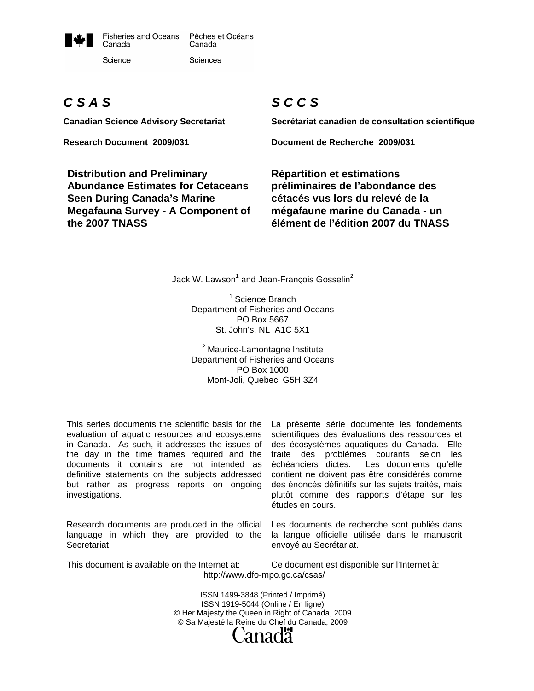

# *C S A S*

**Canadian Science Advisory Secretariat** 

**Distribution and Preliminary Abundance Estimates for Cetaceans Seen During Canada's Marine Megafauna Survey - A Component of the 2007 TNASS** 

# *S C C S*

**Secrétariat canadien de consultation scientifique** 

**Research Document 2009/031 Document de Recherche 2009/031** 

**Répartition et estimations préliminaires de l'abondance des cétacés vus lors du relevé de la mégafaune marine du Canada - un élément de l'édition 2007 du TNASS** 

Jack W. Lawson $^{\rm 1}$  and Jean-François Gosselin $^{\rm 2}$ 

<sup>1</sup> Science Branch Department of Fisheries and Oceans PO Box 5667 St. John's, NL A1C 5X1

<sup>2</sup> Maurice-Lamontagne Institute Department of Fisheries and Oceans PO Box 1000 Mont-Joli, Quebec G5H 3Z4

This series documents the scientific basis for the evaluation of aquatic resources and ecosystems in Canada. As such, it addresses the issues of the day in the time frames required and the documents it contains are not intended as definitive statements on the subjects addressed but rather as progress reports on ongoing investigations.

Research documents are produced in the official language in which they are provided to the **Secretariat.** 

La présente série documente les fondements scientifiques des évaluations des ressources et des écosystèmes aquatiques du Canada. Elle traite des problèmes courants selon les échéanciers dictés. Les documents qu'elle contient ne doivent pas être considérés comme des énoncés définitifs sur les sujets traités, mais plutôt comme des rapports d'étape sur les études en cours.

Les documents de recherche sont publiés dans la langue officielle utilisée dans le manuscrit envoyé au Secrétariat.

This document is available on the Internet at:

Ce document est disponible sur l'Internet à: http://www.dfo-mpo.gc.ca/csas/

ISSN 1499-3848 (Printed / Imprimé) ISSN 1919-5044 (Online / En ligne) © Her Majesty the Queen in Right of Canada, 2009 © Sa Majesté la Reine du Chef du Canada, 2009 anadä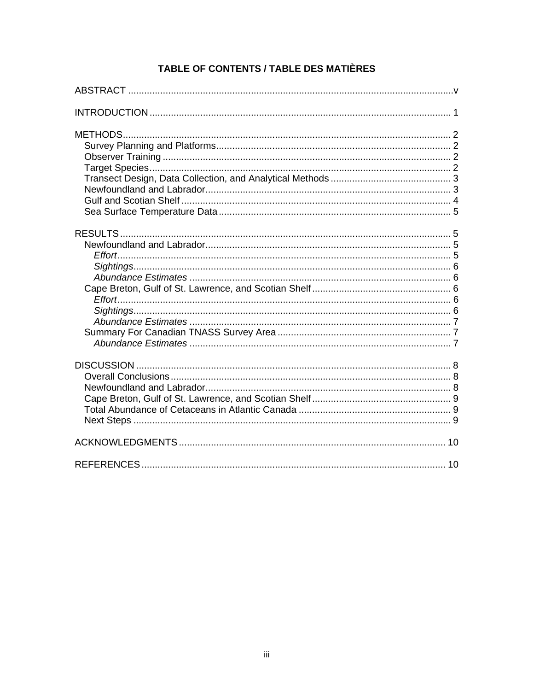# TABLE OF CONTENTS / TABLE DES MATIÈRES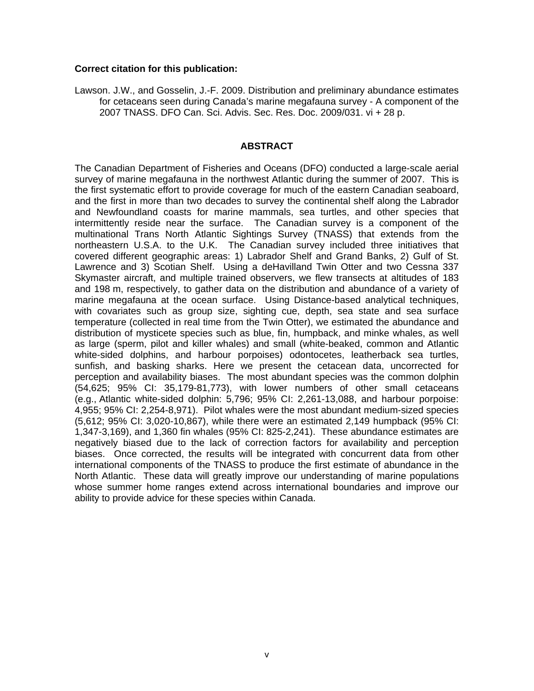#### **Correct citation for this publication:**

Lawson. J.W., and Gosselin, J.-F. 2009. Distribution and preliminary abundance estimates for cetaceans seen during Canada's marine megafauna survey - A component of the 2007 TNASS. DFO Can. Sci. Advis. Sec. Res. Doc. 2009/031. vi + 28 p.

#### **ABSTRACT**

The Canadian Department of Fisheries and Oceans (DFO) conducted a large-scale aerial survey of marine megafauna in the northwest Atlantic during the summer of 2007. This is the first systematic effort to provide coverage for much of the eastern Canadian seaboard, and the first in more than two decades to survey the continental shelf along the Labrador and Newfoundland coasts for marine mammals, sea turtles, and other species that intermittently reside near the surface. The Canadian survey is a component of the multinational Trans North Atlantic Sightings Survey (TNASS) that extends from the northeastern U.S.A. to the U.K. The Canadian survey included three initiatives that covered different geographic areas: 1) Labrador Shelf and Grand Banks, 2) Gulf of St. Lawrence and 3) Scotian Shelf. Using a deHavilland Twin Otter and two Cessna 337 Skymaster aircraft, and multiple trained observers, we flew transects at altitudes of 183 and 198 m, respectively, to gather data on the distribution and abundance of a variety of marine megafauna at the ocean surface. Using Distance-based analytical techniques, with covariates such as group size, sighting cue, depth, sea state and sea surface temperature (collected in real time from the Twin Otter), we estimated the abundance and distribution of mysticete species such as blue, fin, humpback, and minke whales, as well as large (sperm, pilot and killer whales) and small (white-beaked, common and Atlantic white-sided dolphins, and harbour porpoises) odontocetes, leatherback sea turtles, sunfish, and basking sharks. Here we present the cetacean data, uncorrected for perception and availability biases. The most abundant species was the common dolphin (54,625; 95% CI: 35,179-81,773), with lower numbers of other small cetaceans (e.g., Atlantic white-sided dolphin: 5,796; 95% CI: 2,261-13,088, and harbour porpoise: 4,955; 95% CI: 2,254-8,971). Pilot whales were the most abundant medium-sized species (5,612; 95% CI: 3,020-10,867), while there were an estimated 2,149 humpback (95% CI: 1,347-3,169), and 1,360 fin whales (95% CI: 825-2,241). These abundance estimates are negatively biased due to the lack of correction factors for availability and perception biases. Once corrected, the results will be integrated with concurrent data from other international components of the TNASS to produce the first estimate of abundance in the North Atlantic. These data will greatly improve our understanding of marine populations whose summer home ranges extend across international boundaries and improve our ability to provide advice for these species within Canada.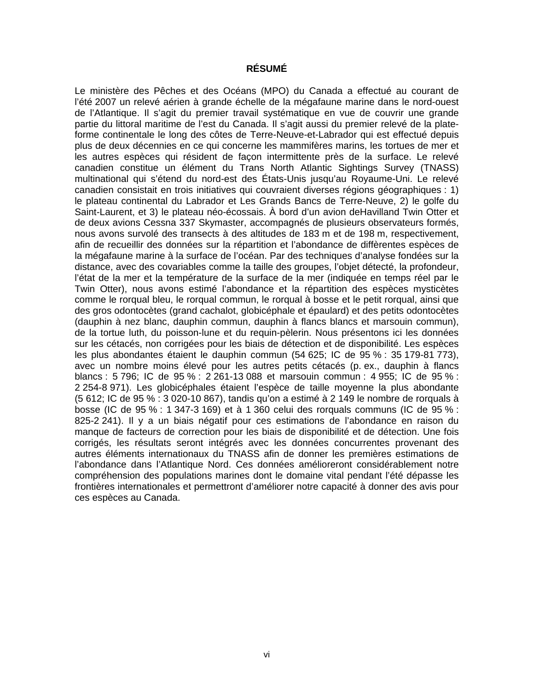# **RÉSUMÉ**

Le ministère des Pêches et des Océans (MPO) du Canada a effectué au courant de l'été 2007 un relevé aérien à grande échelle de la mégafaune marine dans le nord-ouest de l'Atlantique. Il s'agit du premier travail systématique en vue de couvrir une grande partie du littoral maritime de l'est du Canada. Il s'agit aussi du premier relevé de la plateforme continentale le long des côtes de Terre-Neuve-et-Labrador qui est effectué depuis plus de deux décennies en ce qui concerne les mammifères marins, les tortues de mer et les autres espèces qui résident de façon intermittente près de la surface. Le relevé canadien constitue un élément du Trans North Atlantic Sightings Survey (TNASS) multinational qui s'étend du nord-est des États-Unis jusqu'au Royaume-Uni. Le relevé canadien consistait en trois initiatives qui couvraient diverses régions géographiques : 1) le plateau continental du Labrador et Les Grands Bancs de Terre-Neuve, 2) le golfe du Saint-Laurent, et 3) le plateau néo-écossais. À bord d'un avion deHavilland Twin Otter et de deux avions Cessna 337 Skymaster, accompagnés de plusieurs observateurs formés, nous avons survolé des transects à des altitudes de 183 m et de 198 m, respectivement, afin de recueillir des données sur la répartition et l'abondance de diffèrentes espèces de la mégafaune marine à la surface de l'océan. Par des techniques d'analyse fondées sur la distance, avec des covariables comme la taille des groupes, l'objet détecté, la profondeur, l'état de la mer et la température de la surface de la mer (indiquée en temps réel par le Twin Otter), nous avons estimé l'abondance et la répartition des espèces mysticètes comme le rorqual bleu, le rorqual commun, le rorqual à bosse et le petit rorqual, ainsi que des gros odontocètes (grand cachalot, globicéphale et épaulard) et des petits odontocètes (dauphin à nez blanc, dauphin commun, dauphin à flancs blancs et marsouin commun), de la tortue luth, du poisson-lune et du requin-pèlerin. Nous présentons ici les données sur les cétacés, non corrigées pour les biais de détection et de disponibilité. Les espèces les plus abondantes étaient le dauphin commun (54 625; IC de 95 % : 35 179-81 773), avec un nombre moins élevé pour les autres petits cétacés (p. ex., dauphin à flancs blancs : 5 796; IC de 95 % : 2 261-13 088 et marsouin commun : 4 955; IC de 95 % : 2 254-8 971). Les globicéphales étaient l'espèce de taille moyenne la plus abondante (5 612; IC de 95 % : 3 020-10 867), tandis qu'on a estimé à 2 149 le nombre de rorquals à bosse (IC de 95 % : 1 347-3 169) et à 1 360 celui des rorquals communs (IC de 95 % : 825-2 241). Il y a un biais négatif pour ces estimations de l'abondance en raison du manque de facteurs de correction pour les biais de disponibilité et de détection. Une fois corrigés, les résultats seront intégrés avec les données concurrentes provenant des autres éléments internationaux du TNASS afin de donner les premières estimations de l'abondance dans l'Atlantique Nord. Ces données amélioreront considérablement notre compréhension des populations marines dont le domaine vital pendant l'été dépasse les frontières internationales et permettront d'améliorer notre capacité à donner des avis pour ces espèces au Canada.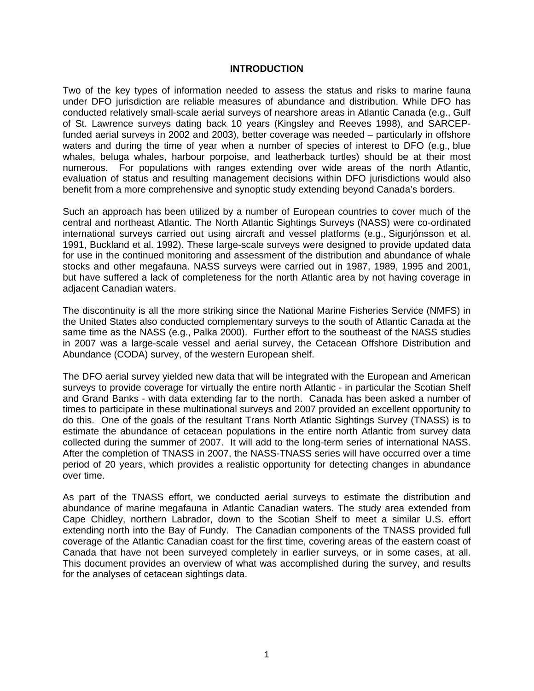#### **INTRODUCTION**

Two of the key types of information needed to assess the status and risks to marine fauna under DFO jurisdiction are reliable measures of abundance and distribution. While DFO has conducted relatively small-scale aerial surveys of nearshore areas in Atlantic Canada (e.g., Gulf of St. Lawrence surveys dating back 10 years (Kingsley and Reeves 1998), and SARCEPfunded aerial surveys in 2002 and 2003), better coverage was needed – particularly in offshore waters and during the time of year when a number of species of interest to DFO (e.g., blue whales, beluga whales, harbour porpoise, and leatherback turtles) should be at their most numerous. For populations with ranges extending over wide areas of the north Atlantic, evaluation of status and resulting management decisions within DFO jurisdictions would also benefit from a more comprehensive and synoptic study extending beyond Canada's borders.

Such an approach has been utilized by a number of European countries to cover much of the central and northeast Atlantic. The North Atlantic Sightings Surveys (NASS) were co-ordinated international surveys carried out using aircraft and vessel platforms (e.g., Sigurjónsson et al. 1991, Buckland et al. 1992). These large-scale surveys were designed to provide updated data for use in the continued monitoring and assessment of the distribution and abundance of whale stocks and other megafauna. NASS surveys were carried out in 1987, 1989, 1995 and 2001, but have suffered a lack of completeness for the north Atlantic area by not having coverage in adjacent Canadian waters.

The discontinuity is all the more striking since the National Marine Fisheries Service (NMFS) in the United States also conducted complementary surveys to the south of Atlantic Canada at the same time as the NASS (e.g., Palka 2000). Further effort to the southeast of the NASS studies in 2007 was a large-scale vessel and aerial survey, the Cetacean Offshore Distribution and Abundance (CODA) survey, of the western European shelf.

The DFO aerial survey yielded new data that will be integrated with the European and American surveys to provide coverage for virtually the entire north Atlantic - in particular the Scotian Shelf and Grand Banks - with data extending far to the north. Canada has been asked a number of times to participate in these multinational surveys and 2007 provided an excellent opportunity to do this. One of the goals of the resultant Trans North Atlantic Sightings Survey (TNASS) is to estimate the abundance of cetacean populations in the entire north Atlantic from survey data collected during the summer of 2007. It will add to the long-term series of international NASS. After the completion of TNASS in 2007, the NASS-TNASS series will have occurred over a time period of 20 years, which provides a realistic opportunity for detecting changes in abundance over time.

As part of the TNASS effort, we conducted aerial surveys to estimate the distribution and abundance of marine megafauna in Atlantic Canadian waters. The study area extended from Cape Chidley, northern Labrador, down to the Scotian Shelf to meet a similar U.S. effort extending north into the Bay of Fundy. The Canadian components of the TNASS provided full coverage of the Atlantic Canadian coast for the first time, covering areas of the eastern coast of Canada that have not been surveyed completely in earlier surveys, or in some cases, at all. This document provides an overview of what was accomplished during the survey, and results for the analyses of cetacean sightings data.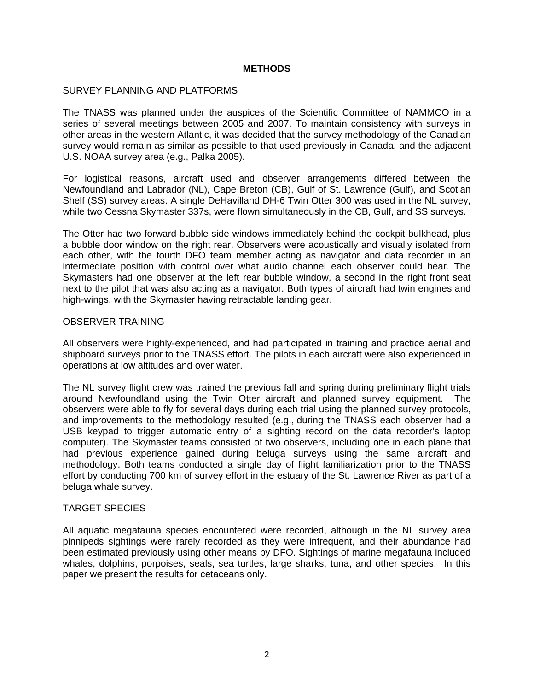### **METHODS**

#### SURVEY PLANNING AND PLATFORMS

The TNASS was planned under the auspices of the Scientific Committee of NAMMCO in a series of several meetings between 2005 and 2007. To maintain consistency with surveys in other areas in the western Atlantic, it was decided that the survey methodology of the Canadian survey would remain as similar as possible to that used previously in Canada, and the adjacent U.S. NOAA survey area (e.g., Palka 2005).

For logistical reasons, aircraft used and observer arrangements differed between the Newfoundland and Labrador (NL), Cape Breton (CB), Gulf of St. Lawrence (Gulf), and Scotian Shelf (SS) survey areas. A single DeHavilland DH-6 Twin Otter 300 was used in the NL survey, while two Cessna Skymaster 337s, were flown simultaneously in the CB, Gulf, and SS surveys.

The Otter had two forward bubble side windows immediately behind the cockpit bulkhead, plus a bubble door window on the right rear. Observers were acoustically and visually isolated from each other, with the fourth DFO team member acting as navigator and data recorder in an intermediate position with control over what audio channel each observer could hear. The Skymasters had one observer at the left rear bubble window, a second in the right front seat next to the pilot that was also acting as a navigator. Both types of aircraft had twin engines and high-wings, with the Skymaster having retractable landing gear.

#### OBSERVER TRAINING

All observers were highly-experienced, and had participated in training and practice aerial and shipboard surveys prior to the TNASS effort. The pilots in each aircraft were also experienced in operations at low altitudes and over water.

The NL survey flight crew was trained the previous fall and spring during preliminary flight trials around Newfoundland using the Twin Otter aircraft and planned survey equipment. The observers were able to fly for several days during each trial using the planned survey protocols, and improvements to the methodology resulted (e.g., during the TNASS each observer had a USB keypad to trigger automatic entry of a sighting record on the data recorder's laptop computer). The Skymaster teams consisted of two observers, including one in each plane that had previous experience gained during beluga surveys using the same aircraft and methodology. Both teams conducted a single day of flight familiarization prior to the TNASS effort by conducting 700 km of survey effort in the estuary of the St. Lawrence River as part of a beluga whale survey.

# TARGET SPECIES

All aquatic megafauna species encountered were recorded, although in the NL survey area pinnipeds sightings were rarely recorded as they were infrequent, and their abundance had been estimated previously using other means by DFO. Sightings of marine megafauna included whales, dolphins, porpoises, seals, sea turtles, large sharks, tuna, and other species. In this paper we present the results for cetaceans only.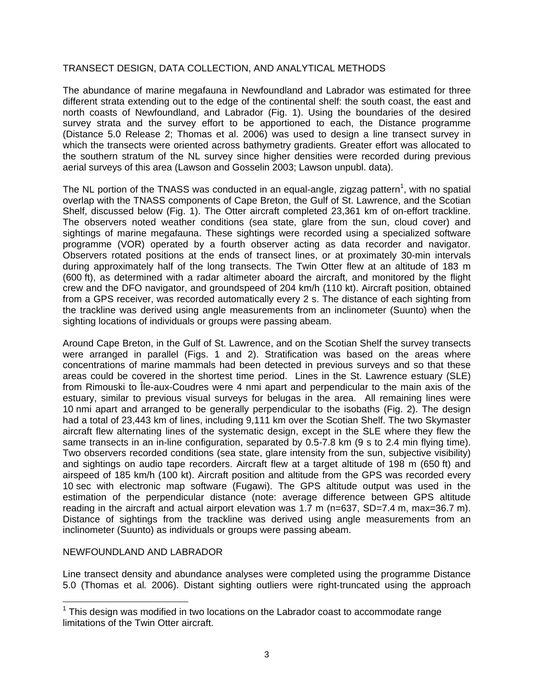# TRANSECT DESIGN, DATA COLLECTION, AND ANALYTICAL METHODS

The abundance of marine megafauna in Newfoundland and Labrador was estimated for three different strata extending out to the edge of the continental shelf: the south coast, the east and north coasts of Newfoundland, and Labrador (Fig. 1). Using the boundaries of the desired survey strata and the survey effort to be apportioned to each, the Distance programme (Distance 5.0 Release 2; Thomas et al. 2006) was used to design a line transect survey in which the transects were oriented across bathymetry gradients. Greater effort was allocated to the southern stratum of the NL survey since higher densities were recorded during previous aerial surveys of this area (Lawson and Gosselin 2003; Lawson unpubl. data).

The NL portion of the TNASS was conducted in an equal-angle, zigzag pattern<sup>1</sup>, with no spatial overlap with the TNASS components of Cape Breton, the Gulf of St. Lawrence, and the Scotian Shelf, discussed below (Fig. 1). The Otter aircraft completed 23,361 km of on-effort trackline. The observers noted weather conditions (sea state, glare from the sun, cloud cover) and sightings of marine megafauna. These sightings were recorded using a specialized software programme (VOR) operated by a fourth observer acting as data recorder and navigator. Observers rotated positions at the ends of transect lines, or at proximately 30-min intervals during approximately half of the long transects. The Twin Otter flew at an altitude of 183 m (600 ft), as determined with a radar altimeter aboard the aircraft, and monitored by the flight crew and the DFO navigator, and groundspeed of 204 km/h (110 kt). Aircraft position, obtained from a GPS receiver, was recorded automatically every 2 s. The distance of each sighting from the trackline was derived using angle measurements from an inclinometer (Suunto) when the sighting locations of individuals or groups were passing abeam.

Around Cape Breton, in the Gulf of St. Lawrence, and on the Scotian Shelf the survey transects were arranged in parallel (Figs. 1 and 2). Stratification was based on the areas where concentrations of marine mammals had been detected in previous surveys and so that these areas could be covered in the shortest time period. Lines in the St. Lawrence estuary (SLE) from Rimouski to Île-aux-Coudres were 4 nmi apart and perpendicular to the main axis of the estuary, similar to previous visual surveys for belugas in the area. All remaining lines were 10 nmi apart and arranged to be generally perpendicular to the isobaths (Fig. 2). The design had a total of 23,443 km of lines, including 9,111 km over the Scotian Shelf. The two Skymaster aircraft flew alternating lines of the systematic design, except in the SLE where they flew the same transects in an in-line configuration, separated by 0.5-7.8 km (9 s to 2.4 min flying time). Two observers recorded conditions (sea state, glare intensity from the sun, subjective visibility) and sightings on audio tape recorders. Aircraft flew at a target altitude of 198 m (650 ft) and airspeed of 185 km/h (100 kt). Aircraft position and altitude from the GPS was recorded every 10 sec with electronic map software (Fugawi). The GPS altitude output was used in the estimation of the perpendicular distance (note: average difference between GPS altitude reading in the aircraft and actual airport elevation was 1.7 m (n=637, SD=7.4 m, max=36.7 m). Distance of sightings from the trackline was derived using angle measurements from an inclinometer (Suunto) as individuals or groups were passing abeam.

# NEWFOUNDLAND AND LABRADOR

Line transect density and abundance analyses were completed using the programme Distance 5.0 (Thomas et al*.* 2006). Distant sighting outliers were right-truncated using the approach

 1 This design was modified in two locations on the Labrador coast to accommodate range limitations of the Twin Otter aircraft.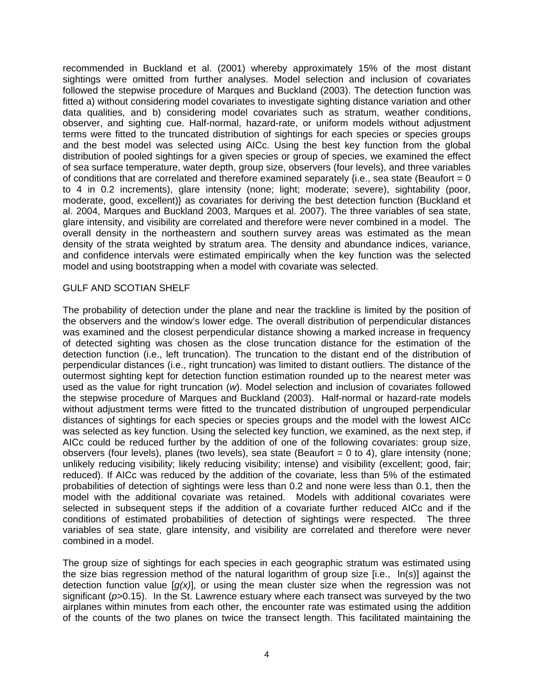recommended in Buckland et al. (2001) whereby approximately 15% of the most distant sightings were omitted from further analyses. Model selection and inclusion of covariates followed the stepwise procedure of Marques and Buckland (2003). The detection function was fitted a) without considering model covariates to investigate sighting distance variation and other data qualities, and b) considering model covariates such as stratum, weather conditions, observer, and sighting cue. Half-normal, hazard-rate, or uniform models without adjustment terms were fitted to the truncated distribution of sightings for each species or species groups and the best model was selected using AICc. Using the best key function from the global distribution of pooled sightings for a given species or group of species, we examined the effect of sea surface temperature, water depth, group size, observers (four levels), and three variables of conditions that are correlated and therefore examined separately  $\{i.e.,\}$  sea state (Beaufort = 0 to 4 in 0.2 increments), glare intensity (none; light; moderate; severe), sightability (poor, moderate, good, excellent)} as covariates for deriving the best detection function (Buckland et al. 2004, Marques and Buckland 2003, Marques et al. 2007). The three variables of sea state, glare intensity, and visibility are correlated and therefore were never combined in a model. The overall density in the northeastern and southern survey areas was estimated as the mean density of the strata weighted by stratum area. The density and abundance indices, variance, and confidence intervals were estimated empirically when the key function was the selected model and using bootstrapping when a model with covariate was selected.

#### GULF AND SCOTIAN SHELF

The probability of detection under the plane and near the trackline is limited by the position of the observers and the window's lower edge. The overall distribution of perpendicular distances was examined and the closest perpendicular distance showing a marked increase in frequency of detected sighting was chosen as the close truncation distance for the estimation of the detection function (i.e., left truncation). The truncation to the distant end of the distribution of perpendicular distances (i.e., right truncation) was limited to distant outliers. The distance of the outermost sighting kept for detection function estimation rounded up to the nearest meter was used as the value for right truncation (*w*). Model selection and inclusion of covariates followed the stepwise procedure of Marques and Buckland (2003). Half-normal or hazard-rate models without adjustment terms were fitted to the truncated distribution of ungrouped perpendicular distances of sightings for each species or species groups and the model with the lowest AICc was selected as key function. Using the selected key function, we examined, as the next step, if AICc could be reduced further by the addition of one of the following covariates: group size, observers (four levels), planes (two levels), sea state (Beaufort  $= 0$  to 4), glare intensity (none; unlikely reducing visibility; likely reducing visibility; intense) and visibility (excellent; good, fair; reduced). If AICc was reduced by the addition of the covariate, less than 5% of the estimated probabilities of detection of sightings were less than 0.2 and none were less than 0.1, then the model with the additional covariate was retained. Models with additional covariates were selected in subsequent steps if the addition of a covariate further reduced AICc and if the conditions of estimated probabilities of detection of sightings were respected. The three variables of sea state, glare intensity, and visibility are correlated and therefore were never combined in a model.

The group size of sightings for each species in each geographic stratum was estimated using the size bias regression method of the natural logarithm of group size [i.e.,ln(*s*)] against the detection function value [*g(x)*], or using the mean cluster size when the regression was not significant (*p*>0.15). In the St. Lawrence estuary where each transect was surveyed by the two airplanes within minutes from each other, the encounter rate was estimated using the addition of the counts of the two planes on twice the transect length. This facilitated maintaining the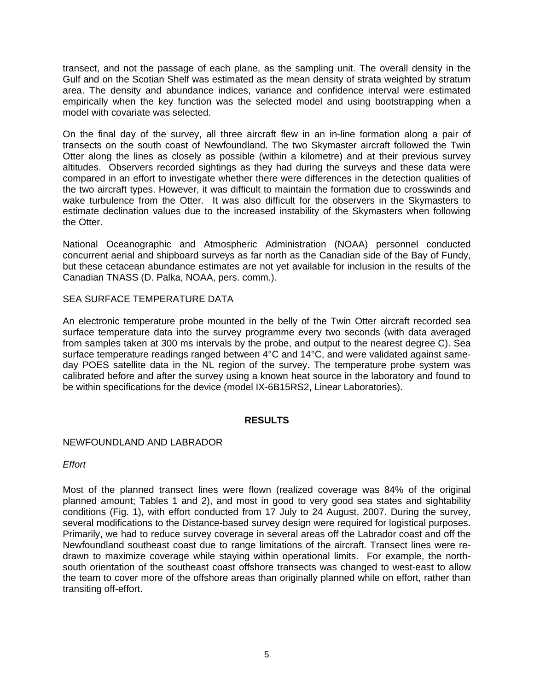transect, and not the passage of each plane, as the sampling unit. The overall density in the Gulf and on the Scotian Shelf was estimated as the mean density of strata weighted by stratum area. The density and abundance indices, variance and confidence interval were estimated empirically when the key function was the selected model and using bootstrapping when a model with covariate was selected.

On the final day of the survey, all three aircraft flew in an in-line formation along a pair of transects on the south coast of Newfoundland. The two Skymaster aircraft followed the Twin Otter along the lines as closely as possible (within a kilometre) and at their previous survey altitudes. Observers recorded sightings as they had during the surveys and these data were compared in an effort to investigate whether there were differences in the detection qualities of the two aircraft types. However, it was difficult to maintain the formation due to crosswinds and wake turbulence from the Otter. It was also difficult for the observers in the Skymasters to estimate declination values due to the increased instability of the Skymasters when following the Otter.

National Oceanographic and Atmospheric Administration (NOAA) personnel conducted concurrent aerial and shipboard surveys as far north as the Canadian side of the Bay of Fundy, but these cetacean abundance estimates are not yet available for inclusion in the results of the Canadian TNASS (D. Palka, NOAA, pers. comm.).

SEA SURFACE TEMPERATURE DATA

An electronic temperature probe mounted in the belly of the Twin Otter aircraft recorded sea surface temperature data into the survey programme every two seconds (with data averaged from samples taken at 300 ms intervals by the probe, and output to the nearest degree C). Sea surface temperature readings ranged between 4°C and 14°C, and were validated against sameday POES satellite data in the NL region of the survey. The temperature probe system was calibrated before and after the survey using a known heat source in the laboratory and found to be within specifications for the device (model IX-6B15RS2, Linear Laboratories).

# **RESULTS**

# NEWFOUNDLAND AND LABRADOR

*Effort* 

Most of the planned transect lines were flown (realized coverage was 84% of the original planned amount; Tables 1 and 2), and most in good to very good sea states and sightability conditions (Fig. 1), with effort conducted from 17 July to 24 August, 2007. During the survey, several modifications to the Distance-based survey design were required for logistical purposes. Primarily, we had to reduce survey coverage in several areas off the Labrador coast and off the Newfoundland southeast coast due to range limitations of the aircraft. Transect lines were redrawn to maximize coverage while staying within operational limits. For example, the northsouth orientation of the southeast coast offshore transects was changed to west-east to allow the team to cover more of the offshore areas than originally planned while on effort, rather than transiting off-effort.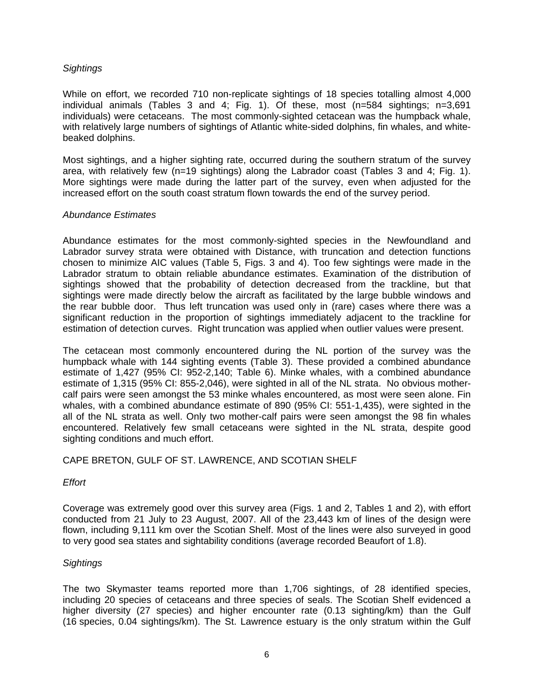# *Sightings*

While on effort, we recorded 710 non-replicate sightings of 18 species totalling almost 4,000 individual animals (Tables 3 and 4; Fig. 1). Of these, most (n=584 sightings; n=3,691 individuals) were cetaceans. The most commonly-sighted cetacean was the humpback whale, with relatively large numbers of sightings of Atlantic white-sided dolphins, fin whales, and whitebeaked dolphins.

Most sightings, and a higher sighting rate, occurred during the southern stratum of the survey area, with relatively few (n=19 sightings) along the Labrador coast (Tables 3 and 4; Fig. 1). More sightings were made during the latter part of the survey, even when adjusted for the increased effort on the south coast stratum flown towards the end of the survey period.

#### *Abundance Estimates*

Abundance estimates for the most commonly-sighted species in the Newfoundland and Labrador survey strata were obtained with Distance, with truncation and detection functions chosen to minimize AIC values (Table 5, Figs. 3 and 4). Too few sightings were made in the Labrador stratum to obtain reliable abundance estimates. Examination of the distribution of sightings showed that the probability of detection decreased from the trackline, but that sightings were made directly below the aircraft as facilitated by the large bubble windows and the rear bubble door. Thus left truncation was used only in (rare) cases where there was a significant reduction in the proportion of sightings immediately adjacent to the trackline for estimation of detection curves. Right truncation was applied when outlier values were present.

The cetacean most commonly encountered during the NL portion of the survey was the humpback whale with 144 sighting events (Table 3). These provided a combined abundance estimate of 1,427 (95% CI: 952-2,140; Table 6). Minke whales, with a combined abundance estimate of 1,315 (95% CI: 855-2,046), were sighted in all of the NL strata. No obvious mothercalf pairs were seen amongst the 53 minke whales encountered, as most were seen alone. Fin whales, with a combined abundance estimate of 890 (95% CI: 551-1,435), were sighted in the all of the NL strata as well. Only two mother-calf pairs were seen amongst the 98 fin whales encountered. Relatively few small cetaceans were sighted in the NL strata, despite good sighting conditions and much effort.

# CAPE BRETON, GULF OF ST. LAWRENCE, AND SCOTIAN SHELF

#### *Effort*

Coverage was extremely good over this survey area (Figs. 1 and 2, Tables 1 and 2), with effort conducted from 21 July to 23 August, 2007. All of the 23,443 km of lines of the design were flown, including 9,111 km over the Scotian Shelf. Most of the lines were also surveyed in good to very good sea states and sightability conditions (average recorded Beaufort of 1.8).

# *Sightings*

The two Skymaster teams reported more than 1,706 sightings, of 28 identified species, including 20 species of cetaceans and three species of seals. The Scotian Shelf evidenced a higher diversity (27 species) and higher encounter rate (0.13 sighting/km) than the Gulf (16 species, 0.04 sightings/km). The St. Lawrence estuary is the only stratum within the Gulf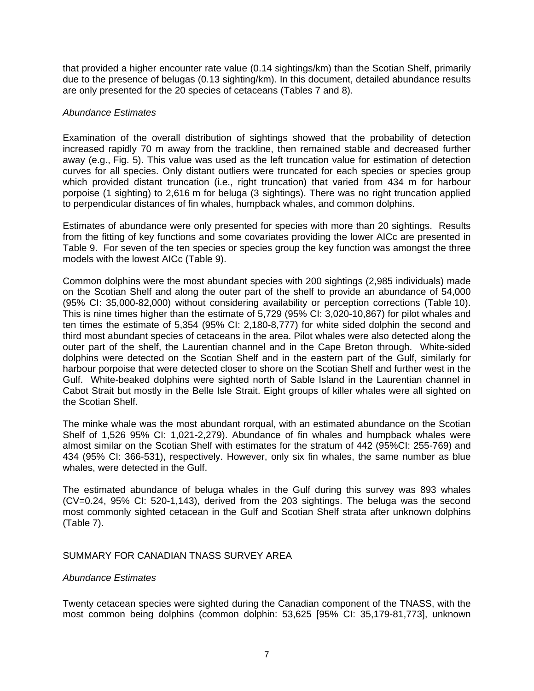that provided a higher encounter rate value (0.14 sightings/km) than the Scotian Shelf, primarily due to the presence of belugas (0.13 sighting/km). In this document, detailed abundance results are only presented for the 20 species of cetaceans (Tables 7 and 8).

# *Abundance Estimates*

Examination of the overall distribution of sightings showed that the probability of detection increased rapidly 70 m away from the trackline, then remained stable and decreased further away (e.g., Fig. 5). This value was used as the left truncation value for estimation of detection curves for all species. Only distant outliers were truncated for each species or species group which provided distant truncation (i.e., right truncation) that varied from 434 m for harbour porpoise (1 sighting) to 2,616 m for beluga (3 sightings). There was no right truncation applied to perpendicular distances of fin whales, humpback whales, and common dolphins.

Estimates of abundance were only presented for species with more than 20 sightings. Results from the fitting of key functions and some covariates providing the lower AICc are presented in Table 9. For seven of the ten species or species group the key function was amongst the three models with the lowest AICc (Table 9).

Common dolphins were the most abundant species with 200 sightings (2,985 individuals) made on the Scotian Shelf and along the outer part of the shelf to provide an abundance of 54,000 (95% CI: 35,000-82,000) without considering availability or perception corrections (Table 10). This is nine times higher than the estimate of 5,729 (95% CI: 3,020-10,867) for pilot whales and ten times the estimate of 5,354 (95% CI: 2,180-8,777) for white sided dolphin the second and third most abundant species of cetaceans in the area. Pilot whales were also detected along the outer part of the shelf, the Laurentian channel and in the Cape Breton through. White-sided dolphins were detected on the Scotian Shelf and in the eastern part of the Gulf, similarly for harbour porpoise that were detected closer to shore on the Scotian Shelf and further west in the Gulf. White-beaked dolphins were sighted north of Sable Island in the Laurentian channel in Cabot Strait but mostly in the Belle Isle Strait. Eight groups of killer whales were all sighted on the Scotian Shelf.

The minke whale was the most abundant rorqual, with an estimated abundance on the Scotian Shelf of 1,526 95% CI: 1,021-2,279). Abundance of fin whales and humpback whales were almost similar on the Scotian Shelf with estimates for the stratum of 442 (95%CI: 255-769) and 434 (95% CI: 366-531), respectively. However, only six fin whales, the same number as blue whales, were detected in the Gulf.

The estimated abundance of beluga whales in the Gulf during this survey was 893 whales (CV=0.24, 95% CI: 520-1,143), derived from the 203 sightings. The beluga was the second most commonly sighted cetacean in the Gulf and Scotian Shelf strata after unknown dolphins (Table 7).

# SUMMARY FOR CANADIAN TNASS SURVEY AREA

#### *Abundance Estimates*

Twenty cetacean species were sighted during the Canadian component of the TNASS, with the most common being dolphins (common dolphin: 53,625 [95% CI: 35,179-81,773], unknown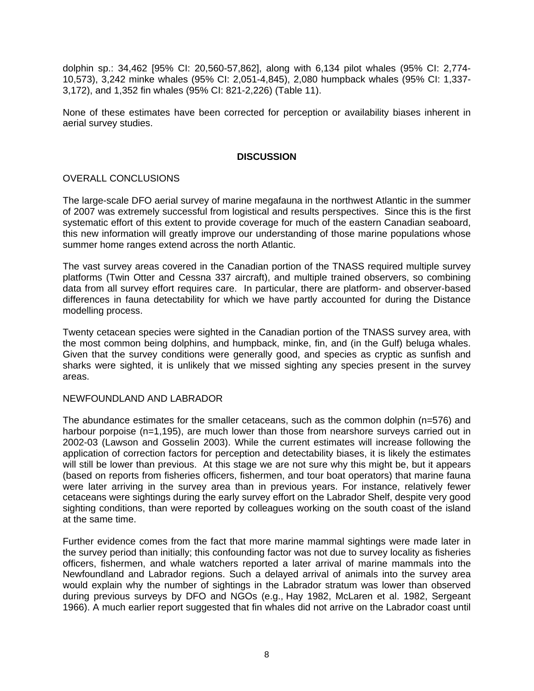dolphin sp.: 34,462 [95% CI: 20,560-57,862], along with 6,134 pilot whales (95% CI: 2,774- 10,573), 3,242 minke whales (95% CI: 2,051-4,845), 2,080 humpback whales (95% CI: 1,337- 3,172), and 1,352 fin whales (95% CI: 821-2,226) (Table 11).

None of these estimates have been corrected for perception or availability biases inherent in aerial survey studies.

### **DISCUSSION**

# OVERALL CONCLUSIONS

The large-scale DFO aerial survey of marine megafauna in the northwest Atlantic in the summer of 2007 was extremely successful from logistical and results perspectives. Since this is the first systematic effort of this extent to provide coverage for much of the eastern Canadian seaboard, this new information will greatly improve our understanding of those marine populations whose summer home ranges extend across the north Atlantic.

The vast survey areas covered in the Canadian portion of the TNASS required multiple survey platforms (Twin Otter and Cessna 337 aircraft), and multiple trained observers, so combining data from all survey effort requires care. In particular, there are platform- and observer-based differences in fauna detectability for which we have partly accounted for during the Distance modelling process.

Twenty cetacean species were sighted in the Canadian portion of the TNASS survey area, with the most common being dolphins, and humpback, minke, fin, and (in the Gulf) beluga whales. Given that the survey conditions were generally good, and species as cryptic as sunfish and sharks were sighted, it is unlikely that we missed sighting any species present in the survey areas.

#### NEWFOUNDLAND AND LABRADOR

The abundance estimates for the smaller cetaceans, such as the common dolphin (n=576) and harbour porpoise (n=1,195), are much lower than those from nearshore surveys carried out in 2002-03 (Lawson and Gosselin 2003). While the current estimates will increase following the application of correction factors for perception and detectability biases, it is likely the estimates will still be lower than previous. At this stage we are not sure why this might be, but it appears (based on reports from fisheries officers, fishermen, and tour boat operators) that marine fauna were later arriving in the survey area than in previous years. For instance, relatively fewer cetaceans were sightings during the early survey effort on the Labrador Shelf, despite very good sighting conditions, than were reported by colleagues working on the south coast of the island at the same time.

Further evidence comes from the fact that more marine mammal sightings were made later in the survey period than initially; this confounding factor was not due to survey locality as fisheries officers, fishermen, and whale watchers reported a later arrival of marine mammals into the Newfoundland and Labrador regions. Such a delayed arrival of animals into the survey area would explain why the number of sightings in the Labrador stratum was lower than observed during previous surveys by DFO and NGOs (e.g., Hay 1982, McLaren et al. 1982, Sergeant 1966). A much earlier report suggested that fin whales did not arrive on the Labrador coast until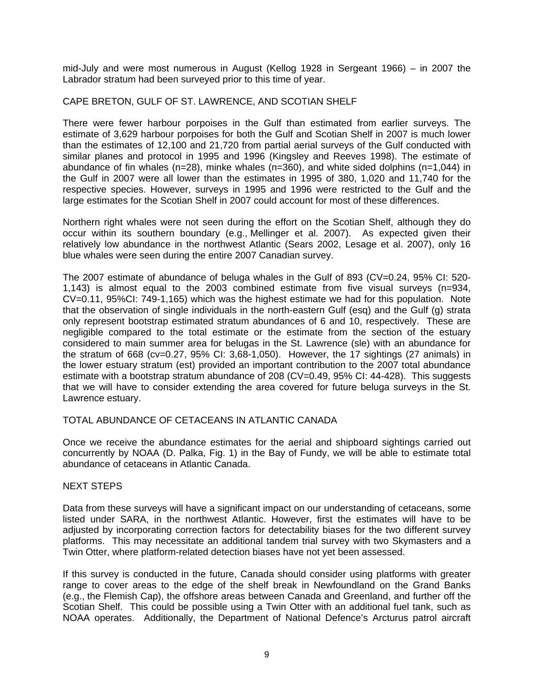mid-July and were most numerous in August (Kellog 1928 in Sergeant 1966) – in 2007 the Labrador stratum had been surveyed prior to this time of year.

### CAPE BRETON, GULF OF ST. LAWRENCE, AND SCOTIAN SHELF

There were fewer harbour porpoises in the Gulf than estimated from earlier surveys. The estimate of 3,629 harbour porpoises for both the Gulf and Scotian Shelf in 2007 is much lower than the estimates of 12,100 and 21,720 from partial aerial surveys of the Gulf conducted with similar planes and protocol in 1995 and 1996 (Kingsley and Reeves 1998). The estimate of abundance of fin whales (n=28), minke whales (n=360), and white sided dolphins (n=1,044) in the Gulf in 2007 were all lower than the estimates in 1995 of 380, 1,020 and 11,740 for the respective species. However, surveys in 1995 and 1996 were restricted to the Gulf and the large estimates for the Scotian Shelf in 2007 could account for most of these differences.

Northern right whales were not seen during the effort on the Scotian Shelf, although they do occur within its southern boundary (e.g., Mellinger et al. 2007). As expected given their relatively low abundance in the northwest Atlantic (Sears 2002, Lesage et al. 2007), only 16 blue whales were seen during the entire 2007 Canadian survey.

The 2007 estimate of abundance of beluga whales in the Gulf of 893 (CV=0.24, 95% CI: 520- 1,143) is almost equal to the 2003 combined estimate from five visual surveys (n=934, CV=0.11, 95%CI: 749-1,165) which was the highest estimate we had for this population. Note that the observation of single individuals in the north-eastern Gulf (esq) and the Gulf (g) strata only represent bootstrap estimated stratum abundances of 6 and 10, respectively. These are negligible compared to the total estimate or the estimate from the section of the estuary considered to main summer area for belugas in the St. Lawrence (sle) with an abundance for the stratum of 668 (cv=0.27, 95% CI: 3,68-1,050). However, the 17 sightings (27 animals) in the lower estuary stratum (est) provided an important contribution to the 2007 total abundance estimate with a bootstrap stratum abundance of 208 (CV=0.49, 95% CI: 44-428). This suggests that we will have to consider extending the area covered for future beluga surveys in the St. Lawrence estuary.

#### TOTAL ABUNDANCE OF CETACEANS IN ATLANTIC CANADA

Once we receive the abundance estimates for the aerial and shipboard sightings carried out concurrently by NOAA (D. Palka, Fig. 1) in the Bay of Fundy, we will be able to estimate total abundance of cetaceans in Atlantic Canada.

#### NEXT STEPS

Data from these surveys will have a significant impact on our understanding of cetaceans, some listed under SARA, in the northwest Atlantic. However, first the estimates will have to be adjusted by incorporating correction factors for detectability biases for the two different survey platforms. This may necessitate an additional tandem trial survey with two Skymasters and a Twin Otter, where platform-related detection biases have not yet been assessed.

If this survey is conducted in the future, Canada should consider using platforms with greater range to cover areas to the edge of the shelf break in Newfoundland on the Grand Banks (e.g., the Flemish Cap), the offshore areas between Canada and Greenland, and further off the Scotian Shelf. This could be possible using a Twin Otter with an additional fuel tank, such as NOAA operates. Additionally, the Department of National Defence's Arcturus patrol aircraft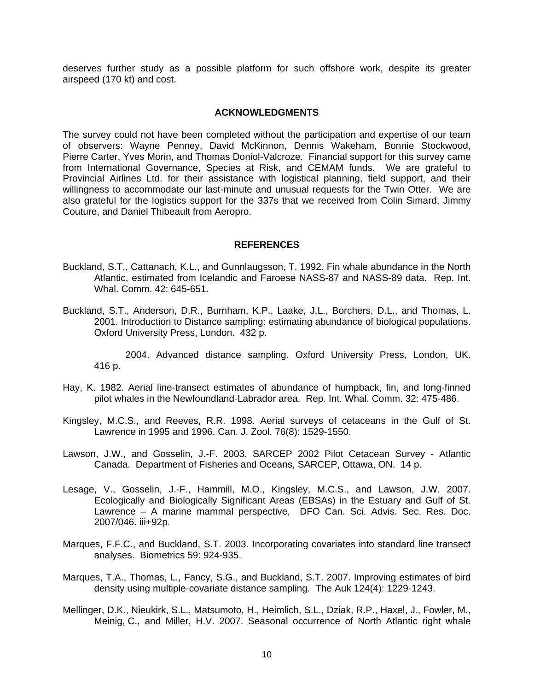deserves further study as a possible platform for such offshore work, despite its greater airspeed (170 kt) and cost.

#### **ACKNOWLEDGMENTS**

The survey could not have been completed without the participation and expertise of our team of observers: Wayne Penney, David McKinnon, Dennis Wakeham, Bonnie Stockwood, Pierre Carter, Yves Morin, and Thomas Doniol-Valcroze. Financial support for this survey came from International Governance, Species at Risk, and CEMAM funds. We are grateful to Provincial Airlines Ltd. for their assistance with logistical planning, field support, and their willingness to accommodate our last-minute and unusual requests for the Twin Otter. We are also grateful for the logistics support for the 337s that we received from Colin Simard, Jimmy Couture, and Daniel Thibeault from Aeropro.

#### **REFERENCES**

- Buckland, S.T., Cattanach, K.L., and Gunnlaugsson, T. 1992. Fin whale abundance in the North Atlantic, estimated from Icelandic and Faroese NASS-87 and NASS-89 data. Rep. Int. Whal. Comm. 42: 645-651.
- Buckland, S.T., Anderson, D.R., Burnham, K.P., Laake, J.L., Borchers, D.L., and Thomas, L. 2001. Introduction to Distance sampling: estimating abundance of biological populations. Oxford University Press, London. 432 p.

2004. Advanced distance sampling. Oxford University Press, London, UK. 416 p.

- Hay, K. 1982. Aerial line-transect estimates of abundance of humpback, fin, and long-finned pilot whales in the Newfoundland-Labrador area. Rep. Int. Whal. Comm. 32: 475-486.
- Kingsley, M.C.S., and Reeves, R.R. 1998. Aerial surveys of cetaceans in the Gulf of St. Lawrence in 1995 and 1996. Can. J. Zool. 76(8): 1529-1550.
- Lawson, J.W., and Gosselin, J.-F. 2003. SARCEP 2002 Pilot Cetacean Survey Atlantic Canada. Department of Fisheries and Oceans, SARCEP, Ottawa, ON. 14 p.
- Lesage, V., Gosselin, J.-F., Hammill, M.O., Kingsley, M.C.S., and Lawson, J.W. 2007. Ecologically and Biologically Significant Areas (EBSAs) in the Estuary and Gulf of St. Lawrence – A marine mammal perspective, DFO Can. Sci. Advis. Sec. Res. Doc. 2007/046. iii+92p.
- Marques, F.F.C., and Buckland, S.T. 2003. Incorporating covariates into standard line transect analyses. Biometrics 59: 924-935.
- Marques, T.A., Thomas, L., Fancy, S.G., and Buckland, S.T. 2007. Improving estimates of bird density using multiple-covariate distance sampling. The Auk 124(4): 1229-1243.
- Mellinger, D.K., Nieukirk, S.L., Matsumoto, H., Heimlich, S.L., Dziak, R.P., Haxel, J., Fowler, M., Meinig, C., and Miller, H.V. 2007. Seasonal occurrence of North Atlantic right whale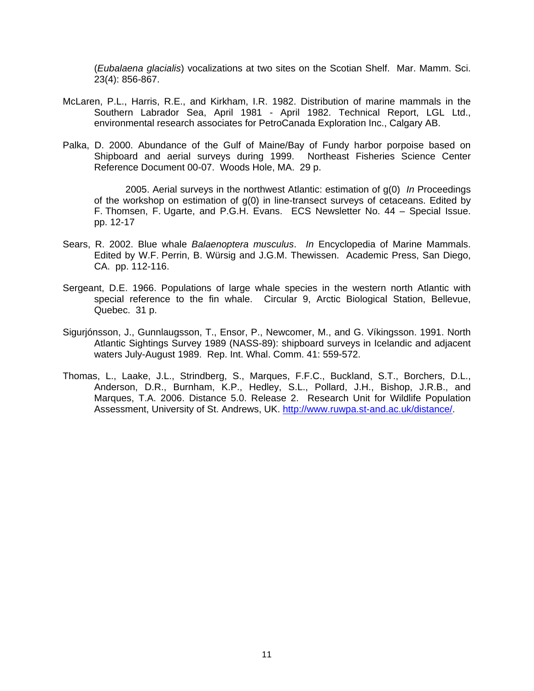(*Eubalaena glacialis*) vocalizations at two sites on the Scotian Shelf. Mar. Mamm. Sci. 23(4): 856-867.

- McLaren, P.L., Harris, R.E., and Kirkham, I.R. 1982. Distribution of marine mammals in the Southern Labrador Sea, April 1981 - April 1982. Technical Report, LGL Ltd., environmental research associates for PetroCanada Exploration Inc., Calgary AB.
- Palka, D. 2000. Abundance of the Gulf of Maine/Bay of Fundy harbor porpoise based on Shipboard and aerial surveys during 1999. Northeast Fisheries Science Center Reference Document 00-07. Woods Hole, MA. 29 p.

2005. Aerial surveys in the northwest Atlantic: estimation of g(0) *In* Proceedings of the workshop on estimation of  $q(0)$  in line-transect surveys of cetaceans. Edited by F. Thomsen, F. Ugarte, and P.G.H. Evans. ECS Newsletter No. 44 – Special Issue. pp. 12-17

- Sears, R. 2002. Blue whale *Balaenoptera musculus*. *In* Encyclopedia of Marine Mammals. Edited by W.F. Perrin, B. Würsig and J.G.M. Thewissen. Academic Press, San Diego, CA. pp. 112-116.
- Sergeant, D.E. 1966. Populations of large whale species in the western north Atlantic with special reference to the fin whale. Circular 9, Arctic Biological Station, Bellevue, Quebec. 31 p.
- Sigurjónsson, J., Gunnlaugsson, T., Ensor, P., Newcomer, M., and G. Víkingsson. 1991. North Atlantic Sightings Survey 1989 (NASS-89): shipboard surveys in Icelandic and adjacent waters July-August 1989. Rep. Int. Whal. Comm. 41: 559-572.
- Thomas, L., Laake, J.L., Strindberg, S., Marques, F.F.C., Buckland, S.T., Borchers, D.L., Anderson, D.R., Burnham, K.P., Hedley, S.L., Pollard, J.H., Bishop, J.R.B., and Marques, T.A. 2006. Distance 5.0. Release 2. Research Unit for Wildlife Population Assessment, University of St. Andrews, UK. http://www.ruwpa.st-and.ac.uk/distance/.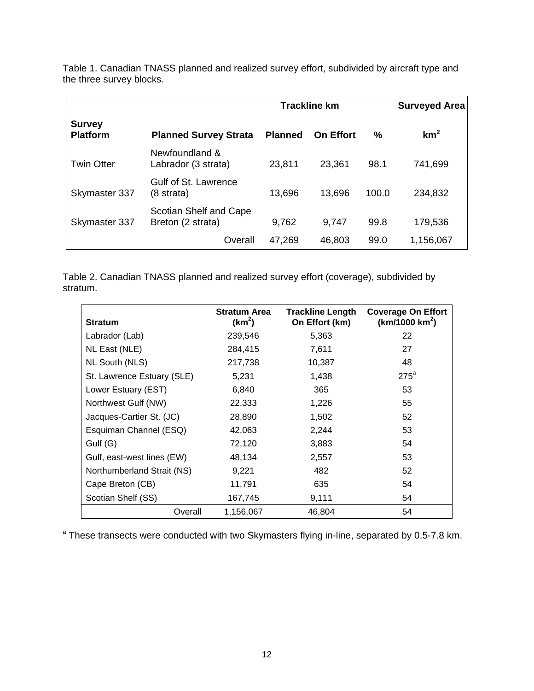|                                  |                                              |                | <b>Trackline km</b> |       | <b>Surveyed Area</b> |
|----------------------------------|----------------------------------------------|----------------|---------------------|-------|----------------------|
| <b>Survey</b><br><b>Platform</b> | <b>Planned Survey Strata</b>                 | <b>Planned</b> | <b>On Effort</b>    | ℅     | km <sup>2</sup>      |
| <b>Twin Otter</b>                | Newfoundland &<br>Labrador (3 strata)        | 23,811         | 23,361              | 98.1  | 741,699              |
| Skymaster 337                    | Gulf of St. Lawrence<br>$(8 \text{ strata})$ | 13,696         | 13,696              | 100.0 | 234,832              |
| Skymaster 337                    | Scotian Shelf and Cape<br>Breton (2 strata)  | 9,762          | 9,747               | 99.8  | 179,536              |
|                                  | Overall                                      | 47,269         | 46,803              | 99.0  | 1,156,067            |

Table 1. Canadian TNASS planned and realized survey effort, subdivided by aircraft type and the three survey blocks.

Table 2. Canadian TNASS planned and realized survey effort (coverage), subdivided by stratum.

| <b>Stratum</b>             | <b>Stratum Area</b><br>(km <sup>2</sup> ) | <b>Trackline Length</b><br>On Effort (km) | <b>Coverage On Effort</b><br>(km/1000 km <sup>2</sup> ) |
|----------------------------|-------------------------------------------|-------------------------------------------|---------------------------------------------------------|
| Labrador (Lab)             | 239,546                                   | 5,363                                     | 22                                                      |
| NL East (NLE)              | 284,415                                   | 7,611                                     | 27                                                      |
| NL South (NLS)             | 217,738                                   | 10,387                                    | 48                                                      |
| St. Lawrence Estuary (SLE) | 5,231                                     | 1,438                                     | $275^a$                                                 |
| Lower Estuary (EST)        | 6,840                                     | 365                                       | 53                                                      |
| Northwest Gulf (NW)        | 22,333                                    | 1,226                                     | 55                                                      |
| Jacques-Cartier St. (JC)   | 28,890                                    | 1,502                                     | 52                                                      |
| Esquiman Channel (ESQ)     | 42,063                                    | 2,244                                     | 53                                                      |
| Gulf (G)                   | 72,120                                    | 3,883                                     | 54                                                      |
| Gulf, east-west lines (EW) | 48,134                                    | 2,557                                     | 53                                                      |
| Northumberland Strait (NS) | 9,221                                     | 482                                       | 52                                                      |
| Cape Breton (CB)           | 11,791                                    | 635                                       | 54                                                      |
| Scotian Shelf (SS)         | 167,745                                   | 9,111                                     | 54                                                      |
| Overall                    | 1,156,067                                 | 46,804                                    | 54                                                      |

<sup>a</sup> These transects were conducted with two Skymasters flying in-line, separated by 0.5-7.8 km.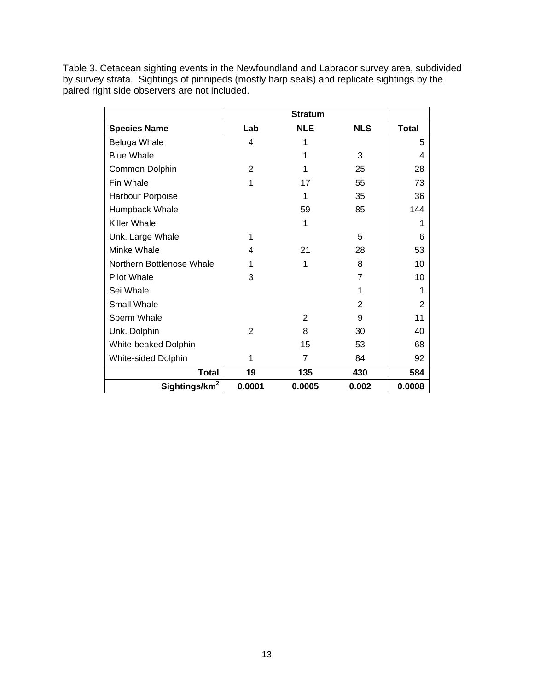Table 3. Cetacean sighting events in the Newfoundland and Labrador survey area, subdivided by survey strata. Sightings of pinnipeds (mostly harp seals) and replicate sightings by the paired right side observers are not included.

| <b>Species Name</b>       | Lab            | <b>NLE</b> | <b>NLS</b>     | <b>Total</b>   |
|---------------------------|----------------|------------|----------------|----------------|
| Beluga Whale              | 4              | 1          |                | 5              |
| <b>Blue Whale</b>         |                | 1          | 3              | 4              |
| Common Dolphin            | 2              | 1          | 25             | 28             |
| Fin Whale                 | 1              | 17         | 55             | 73             |
| Harbour Porpoise          |                | 1          | 35             | 36             |
| Humpback Whale            |                | 59         | 85             | 144            |
| <b>Killer Whale</b>       |                | 1          |                | 1              |
| Unk. Large Whale          | 1              |            | 5              | 6              |
| Minke Whale               | 4              | 21         | 28             | 53             |
| Northern Bottlenose Whale |                | 1          | 8              | 10             |
| Pilot Whale               | 3              |            | 7              | 10             |
| Sei Whale                 |                |            | 1              | 1              |
| Small Whale               |                |            | $\overline{2}$ | $\overline{2}$ |
| Sperm Whale               |                | 2          | 9              | 11             |
| Unk. Dolphin              | $\overline{2}$ | 8          | 30             | 40             |
| White-beaked Dolphin      |                | 15         | 53             | 68             |
| White-sided Dolphin       | 1              | 7          | 84             | 92             |
| <b>Total</b>              | 19             | 135        | 430            | 584            |
| Sightings/km <sup>2</sup> | 0.0001         | 0.0005     | 0.002          | 0.0008         |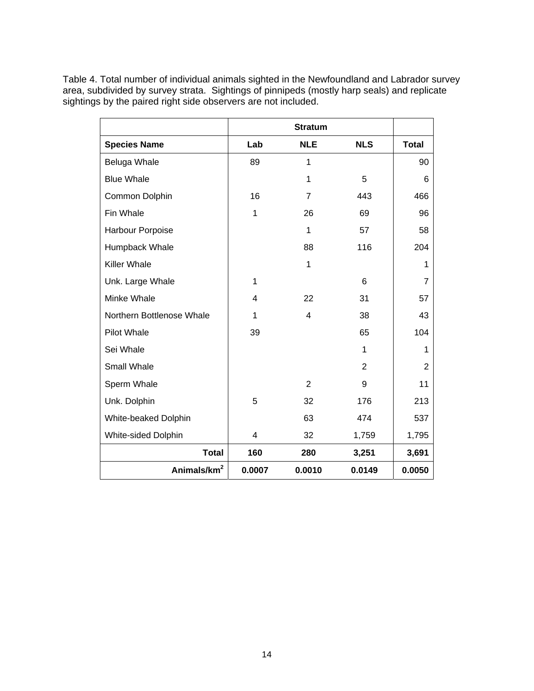Table 4. Total number of individual animals sighted in the Newfoundland and Labrador survey area, subdivided by survey strata. Sightings of pinnipeds (mostly harp seals) and replicate sightings by the paired right side observers are not included.

|                           |        | <b>Stratum</b> |            |                |
|---------------------------|--------|----------------|------------|----------------|
| <b>Species Name</b>       | Lab    | <b>NLE</b>     | <b>NLS</b> | <b>Total</b>   |
| Beluga Whale              | 89     | 1              |            | 90             |
| <b>Blue Whale</b>         |        | 1              | 5          | 6              |
| Common Dolphin            | 16     | 7              | 443        | 466            |
| Fin Whale                 | 1      | 26             | 69         | 96             |
| Harbour Porpoise          |        | 1              | 57         | 58             |
| Humpback Whale            |        | 88             | 116        | 204            |
| <b>Killer Whale</b>       |        | 1              |            | 1              |
| Unk. Large Whale          | 1      |                | 6          | $\overline{7}$ |
| Minke Whale               | 4      | 22             | 31         | 57             |
| Northern Bottlenose Whale | 1      | 4              | 38         | 43             |
| <b>Pilot Whale</b>        | 39     |                | 65         | 104            |
| Sei Whale                 |        |                | 1          | 1              |
| Small Whale               |        |                | 2          | $\overline{2}$ |
| Sperm Whale               |        | 2              | 9          | 11             |
| Unk. Dolphin              | 5      | 32             | 176        | 213            |
| White-beaked Dolphin      |        | 63             | 474        | 537            |
| White-sided Dolphin       | 4      | 32             | 1,759      | 1,795          |
| <b>Total</b>              | 160    | 280            | 3,251      | 3,691          |
| Animals/km <sup>2</sup>   | 0.0007 | 0.0010         | 0.0149     | 0.0050         |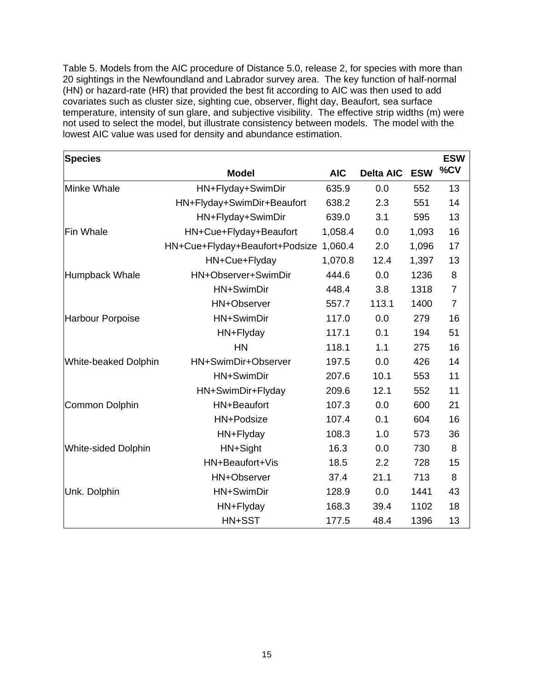Table 5. Models from the AIC procedure of Distance 5.0, release 2, for species with more than 20 sightings in the Newfoundland and Labrador survey area. The key function of half-normal (HN) or hazard-rate (HR) that provided the best fit according to AIC was then used to add covariates such as cluster size, sighting cue, observer, flight day, Beaufort, sea surface temperature, intensity of sun glare, and subjective visibility. The effective strip widths (m) were not used to select the model, but illustrate consistency between models. The model with the lowest AIC value was used for density and abundance estimation.

| <b>Species</b>             |                                |            |                  |            | <b>ESW</b>     |
|----------------------------|--------------------------------|------------|------------------|------------|----------------|
|                            | <b>Model</b>                   | <b>AIC</b> | <b>Delta AIC</b> | <b>ESW</b> | %CV            |
| Minke Whale                | HN+Flyday+SwimDir              | 635.9      | 0.0              | 552        | 13             |
|                            | HN+Flyday+SwimDir+Beaufort     | 638.2      | 2.3              | 551        | 14             |
|                            | HN+Flyday+SwimDir              | 639.0      | 3.1              | 595        | 13             |
| <b>Fin Whale</b>           | HN+Cue+Flyday+Beaufort         | 1,058.4    | 0.0              | 1,093      | 16             |
|                            | HN+Cue+Flyday+Beaufort+Podsize | 1,060.4    | 2.0              | 1,096      | 17             |
|                            | HN+Cue+Flyday                  | 1,070.8    | 12.4             | 1,397      | 13             |
| Humpback Whale             | HN+Observer+SwimDir            | 444.6      | 0.0              | 1236       | 8              |
|                            | HN+SwimDir                     | 448.4      | 3.8              | 1318       | $\overline{7}$ |
|                            | HN+Observer                    | 557.7      | 113.1            | 1400       | $\overline{7}$ |
| Harbour Porpoise           | HN+SwimDir                     | 117.0      | 0.0              | 279        | 16             |
|                            | HN+Flyday                      | 117.1      | 0.1              | 194        | 51             |
|                            | <b>HN</b>                      | 118.1      | 1.1              | 275        | 16             |
| White-beaked Dolphin       | HN+SwimDir+Observer            | 197.5      | 0.0              | 426        | 14             |
|                            | HN+SwimDir                     | 207.6      | 10.1             | 553        | 11             |
|                            | HN+SwimDir+Flyday              | 209.6      | 12.1             | 552        | 11             |
| <b>Common Dolphin</b>      | HN+Beaufort                    | 107.3      | 0.0              | 600        | 21             |
|                            | HN+Podsize                     | 107.4      | 0.1              | 604        | 16             |
|                            | HN+Flyday                      | 108.3      | 1.0              | 573        | 36             |
| <b>White-sided Dolphin</b> | HN+Sight                       | 16.3       | 0.0              | 730        | 8              |
|                            | HN+Beaufort+Vis                | 18.5       | 2.2              | 728        | 15             |
|                            | HN+Observer                    | 37.4       | 21.1             | 713        | 8              |
| Unk. Dolphin               | HN+SwimDir                     | 128.9      | 0.0              | 1441       | 43             |
|                            | HN+Flyday                      | 168.3      | 39.4             | 1102       | 18             |
|                            | HN+SST                         | 177.5      | 48.4             | 1396       | 13             |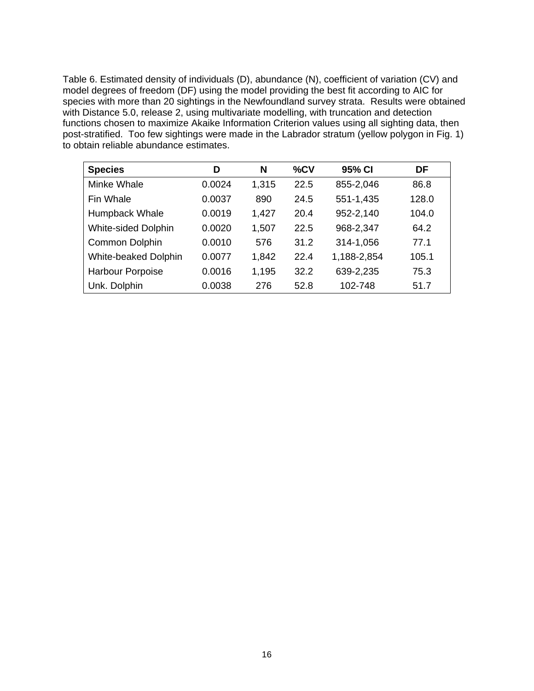Table 6. Estimated density of individuals (D), abundance (N), coefficient of variation (CV) and model degrees of freedom (DF) using the model providing the best fit according to AIC for species with more than 20 sightings in the Newfoundland survey strata. Results were obtained with Distance 5.0, release 2, using multivariate modelling, with truncation and detection functions chosen to maximize Akaike Information Criterion values using all sighting data, then post-stratified. Too few sightings were made in the Labrador stratum (yellow polygon in Fig. 1) to obtain reliable abundance estimates.

| <b>Species</b>             | D      | N     | %CV  | 95% CI      | DF    |
|----------------------------|--------|-------|------|-------------|-------|
| Minke Whale                | 0.0024 | 1,315 | 22.5 | 855-2,046   | 86.8  |
| Fin Whale                  | 0.0037 | 890   | 24.5 | 551-1,435   | 128.0 |
| Humpback Whale             | 0.0019 | 1,427 | 20.4 | 952-2,140   | 104.0 |
| <b>White-sided Dolphin</b> | 0.0020 | 1,507 | 22.5 | 968-2,347   | 64.2  |
| Common Dolphin             | 0.0010 | 576   | 31.2 | 314-1,056   | 77.1  |
| White-beaked Dolphin       | 0.0077 | 1,842 | 22.4 | 1,188-2,854 | 105.1 |
| Harbour Porpoise           | 0.0016 | 1,195 | 32.2 | 639-2,235   | 75.3  |
| Unk. Dolphin               | 0.0038 | 276   | 52.8 | 102-748     | 51.7  |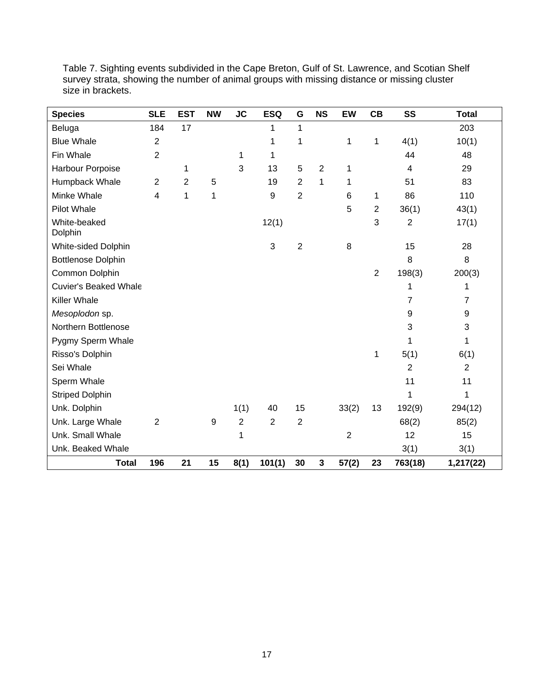| <b>Species</b>               | <b>SLE</b>     | <b>EST</b>     | <b>NW</b> | <b>JC</b>      | <b>ESQ</b>     | G              | <b>NS</b>      | <b>EW</b>      | CB             | SS             | <b>Total</b>   |
|------------------------------|----------------|----------------|-----------|----------------|----------------|----------------|----------------|----------------|----------------|----------------|----------------|
| Beluga                       | 184            | 17             |           |                | 1              | $\mathbf{1}$   |                |                |                |                | 203            |
| <b>Blue Whale</b>            | $\overline{2}$ |                |           |                | 1              | 1              |                | 1              | $\mathbf 1$    | 4(1)           | 10(1)          |
| Fin Whale                    | $\overline{2}$ |                |           | 1              | 1              |                |                |                |                | 44             | 48             |
| Harbour Porpoise             |                | 1              |           | 3              | 13             | 5              | $\overline{2}$ | 1              |                | 4              | 29             |
| Humpback Whale               | $\overline{2}$ | $\overline{2}$ | 5         |                | 19             | $\overline{2}$ | $\mathbf{1}$   | 1              |                | 51             | 83             |
| Minke Whale                  | $\overline{4}$ | 1              | 1         |                | 9              | $\overline{2}$ |                | 6              | 1              | 86             | 110            |
| <b>Pilot Whale</b>           |                |                |           |                |                |                |                | 5              | $\overline{2}$ | 36(1)          | 43(1)          |
| White-beaked<br>Dolphin      |                |                |           |                | 12(1)          |                |                |                | 3              | $\overline{2}$ | 17(1)          |
| White-sided Dolphin          |                |                |           |                | 3              | $\overline{2}$ |                | 8              |                | 15             | 28             |
| <b>Bottlenose Dolphin</b>    |                |                |           |                |                |                |                |                |                | 8              | 8              |
| Common Dolphin               |                |                |           |                |                |                |                |                | $\overline{2}$ | 198(3)         | 200(3)         |
| <b>Cuvier's Beaked Whale</b> |                |                |           |                |                |                |                |                |                | 1              | 1              |
| Killer Whale                 |                |                |           |                |                |                |                |                |                | $\overline{7}$ | $\overline{7}$ |
| Mesoplodon sp.               |                |                |           |                |                |                |                |                |                | 9              | 9              |
| Northern Bottlenose          |                |                |           |                |                |                |                |                |                | 3              | 3              |
| Pygmy Sperm Whale            |                |                |           |                |                |                |                |                |                | 1              | 1              |
| Risso's Dolphin              |                |                |           |                |                |                |                |                | 1              | 5(1)           | 6(1)           |
| Sei Whale                    |                |                |           |                |                |                |                |                |                | $\overline{2}$ | $\overline{2}$ |
| Sperm Whale                  |                |                |           |                |                |                |                |                |                | 11             | 11             |
| <b>Striped Dolphin</b>       |                |                |           |                |                |                |                |                |                | 1              | 1              |
| Unk. Dolphin                 |                |                |           | 1(1)           | 40             | 15             |                | 33(2)          | 13             | 192(9)         | 294(12)        |
| Unk. Large Whale             | $\overline{2}$ |                | 9         | $\overline{2}$ | $\overline{2}$ | $\overline{2}$ |                |                |                | 68(2)          | 85(2)          |
| Unk. Small Whale             |                |                |           | 1              |                |                |                | $\overline{2}$ |                | 12             | 15             |
| Unk. Beaked Whale            |                |                |           |                |                |                |                |                |                | 3(1)           | 3(1)           |
| <b>Total</b>                 | 196            | 21             | 15        | 8(1)           | 101(1)         | 30             | $\mathbf 3$    | 57(2)          | 23             | 763(18)        | 1,217(22)      |

Table 7. Sighting events subdivided in the Cape Breton, Gulf of St. Lawrence, and Scotian Shelf survey strata, showing the number of animal groups with missing distance or missing cluster size in brackets.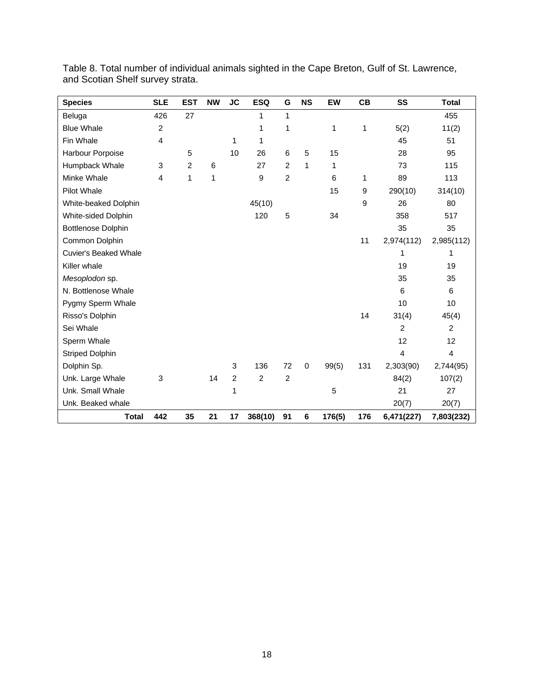| <b>Species</b>               | <b>SLE</b>     | <b>EST</b>     | <b>NW</b> | <b>JC</b>      | <b>ESQ</b>     | G              | <b>NS</b>   | EW     | CB           | SS                      | <b>Total</b>            |
|------------------------------|----------------|----------------|-----------|----------------|----------------|----------------|-------------|--------|--------------|-------------------------|-------------------------|
| Beluga                       | 426            | 27             |           |                | 1              | 1              |             |        |              |                         | 455                     |
| <b>Blue Whale</b>            | $\overline{c}$ |                |           |                | 1              | 1              |             | 1      | $\mathbf{1}$ | 5(2)                    | 11(2)                   |
| Fin Whale                    | 4              |                |           | 1              | 1              |                |             |        |              | 45                      | 51                      |
| Harbour Porpoise             |                | 5              |           | 10             | 26             | 6              | 5           | 15     |              | 28                      | 95                      |
| Humpback Whale               | 3              | $\overline{c}$ | 6         |                | 27             | $\overline{2}$ | 1           | 1      |              | 73                      | 115                     |
| Minke Whale                  | 4              | 1              | 1         |                | 9              | $\overline{2}$ |             | 6      | 1            | 89                      | 113                     |
| <b>Pilot Whale</b>           |                |                |           |                |                |                |             | 15     | 9            | 290(10)                 | 314(10)                 |
| White-beaked Dolphin         |                |                |           |                | 45(10)         |                |             |        | 9            | 26                      | 80                      |
| White-sided Dolphin          |                |                |           |                | 120            | 5              |             | 34     |              | 358                     | 517                     |
| <b>Bottlenose Dolphin</b>    |                |                |           |                |                |                |             |        |              | 35                      | 35                      |
| Common Dolphin               |                |                |           |                |                |                |             |        | 11           | 2,974(112)              | 2,985(112)              |
| <b>Cuvier's Beaked Whale</b> |                |                |           |                |                |                |             |        |              | 1                       | 1                       |
| Killer whale                 |                |                |           |                |                |                |             |        |              | 19                      | 19                      |
| Mesoplodon sp.               |                |                |           |                |                |                |             |        |              | 35                      | 35                      |
| N. Bottlenose Whale          |                |                |           |                |                |                |             |        |              | 6                       | 6                       |
| Pygmy Sperm Whale            |                |                |           |                |                |                |             |        |              | 10                      | 10                      |
| Risso's Dolphin              |                |                |           |                |                |                |             |        | 14           | 31(4)                   | 45(4)                   |
| Sei Whale                    |                |                |           |                |                |                |             |        |              | $\overline{2}$          | 2                       |
| Sperm Whale                  |                |                |           |                |                |                |             |        |              | 12                      | 12                      |
| <b>Striped Dolphin</b>       |                |                |           |                |                |                |             |        |              | $\overline{\mathbf{4}}$ | $\overline{\mathbf{4}}$ |
| Dolphin Sp.                  |                |                |           | 3              | 136            | 72             | $\mathbf 0$ | 99(5)  | 131          | 2,303(90)               | 2,744(95)               |
| Unk. Large Whale             | 3              |                | 14        | $\overline{2}$ | $\overline{2}$ | $\overline{2}$ |             |        |              | 84(2)                   | 107(2)                  |
| Unk. Small Whale             |                |                |           | 1              |                |                |             | 5      |              | 21                      | 27                      |
| Unk. Beaked whale            |                |                |           |                |                |                |             |        |              | 20(7)                   | 20(7)                   |
| <b>Total</b>                 | 442            | 35             | 21        | 17             | 368(10)        | 91             | $\bf 6$     | 176(5) | 176          | 6,471(227)              | 7,803(232)              |

Table 8. Total number of individual animals sighted in the Cape Breton, Gulf of St. Lawrence, and Scotian Shelf survey strata.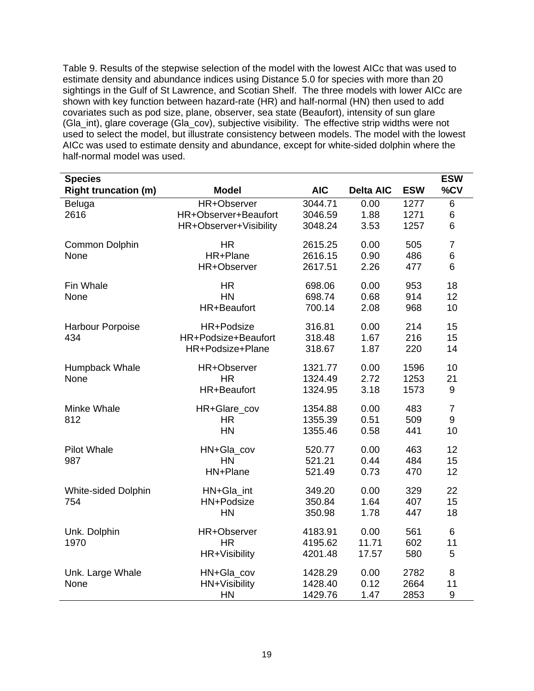Table 9. Results of the stepwise selection of the model with the lowest AICc that was used to estimate density and abundance indices using Distance 5.0 for species with more than 20 sightings in the Gulf of St Lawrence, and Scotian Shelf. The three models with lower AICc are shown with key function between hazard-rate (HR) and half-normal (HN) then used to add covariates such as pod size, plane, observer, sea state (Beaufort), intensity of sun glare (Gla\_int), glare coverage (Gla\_cov), subjective visibility. The effective strip widths were not used to select the model, but illustrate consistency between models. The model with the lowest AICc was used to estimate density and abundance, except for white-sided dolphin where the half-normal model was used.

| <b>Species</b>              |                        |            |                  |            | <b>ESW</b>       |
|-----------------------------|------------------------|------------|------------------|------------|------------------|
| <b>Right truncation (m)</b> | <b>Model</b>           | <b>AIC</b> | <b>Delta AIC</b> | <b>ESW</b> | %CV              |
| Beluga                      | HR+Observer            | 3044.71    | 0.00             | 1277       | 6                |
| 2616                        | HR+Observer+Beaufort   | 3046.59    | 1.88             | 1271       | 6                |
|                             | HR+Observer+Visibility | 3048.24    | 3.53             | 1257       | 6                |
| Common Dolphin              | <b>HR</b>              | 2615.25    | 0.00             | 505        | $\overline{7}$   |
| None                        | HR+Plane               | 2616.15    | 0.90             | 486        | 6                |
|                             | HR+Observer            | 2617.51    | 2.26             | 477        | 6                |
| Fin Whale                   | <b>HR</b>              | 698.06     | 0.00             | 953        | 18               |
| None                        | <b>HN</b>              | 698.74     | 0.68             | 914        | 12               |
|                             | HR+Beaufort            | 700.14     | 2.08             | 968        | 10               |
| <b>Harbour Porpoise</b>     | HR+Podsize             | 316.81     | 0.00             | 214        | 15               |
| 434                         | HR+Podsize+Beaufort    | 318.48     | 1.67             | 216        | 15               |
|                             | HR+Podsize+Plane       | 318.67     | 1.87             | 220        | 14               |
| Humpback Whale              | HR+Observer            | 1321.77    | 0.00             | 1596       | 10               |
| None                        | <b>HR</b>              | 1324.49    | 2.72             | 1253       | 21               |
|                             | HR+Beaufort            | 1324.95    | 3.18             | 1573       | $\boldsymbol{9}$ |
| Minke Whale                 | HR+Glare_cov           | 1354.88    | 0.00             | 483        | $\overline{7}$   |
| 812                         | HR.                    | 1355.39    | 0.51             | 509        | 9                |
|                             | <b>HN</b>              | 1355.46    | 0.58             | 441        | 10               |
| <b>Pilot Whale</b>          | HN+Gla_cov             | 520.77     | 0.00             | 463        | 12               |
| 987                         | <b>HN</b>              | 521.21     | 0.44             | 484        | 15               |
|                             | HN+Plane               | 521.49     | 0.73             | 470        | 12               |
| <b>White-sided Dolphin</b>  | HN+Gla_int             | 349.20     | 0.00             | 329        | 22               |
| 754                         | HN+Podsize             | 350.84     | 1.64             | 407        | 15               |
|                             | HN                     | 350.98     | 1.78             | 447        | 18               |
| Unk. Dolphin                | HR+Observer            | 4183.91    | 0.00             | 561        | 6                |
| 1970                        | <b>HR</b>              | 4195.62    | 11.71            | 602        | 11               |
|                             | HR+Visibility          | 4201.48    | 17.57            | 580        | 5                |
| Unk. Large Whale            | HN+Gla_cov             | 1428.29    | 0.00             | 2782       | 8                |
| None                        | HN+Visibility          | 1428.40    | 0.12             | 2664       | 11               |
|                             | <b>HN</b>              | 1429.76    | 1.47             | 2853       | $\boldsymbol{9}$ |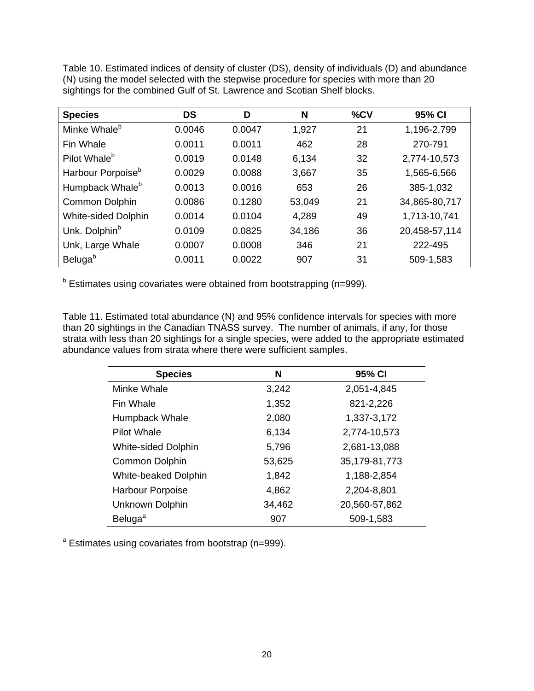Table 10. Estimated indices of density of cluster (DS), density of individuals (D) and abundance (N) using the model selected with the stepwise procedure for species with more than 20 sightings for the combined Gulf of St. Lawrence and Scotian Shelf blocks.

| <b>Species</b>                | <b>DS</b> | D      | N      | %CV | 95% CI        |
|-------------------------------|-----------|--------|--------|-----|---------------|
| Minke Whale <sup>b</sup>      | 0.0046    | 0.0047 | 1,927  | 21  | 1,196-2,799   |
| Fin Whale                     | 0.0011    | 0.0011 | 462    | 28  | 270-791       |
| Pilot Whale <sup>b</sup>      | 0.0019    | 0.0148 | 6.134  | 32  | 2,774-10,573  |
| Harbour Porpoise <sup>b</sup> | 0.0029    | 0.0088 | 3,667  | 35  | 1,565-6,566   |
| Humpback Whale <sup>b</sup>   | 0.0013    | 0.0016 | 653    | 26  | 385-1,032     |
| Common Dolphin                | 0.0086    | 0.1280 | 53,049 | 21  | 34,865-80,717 |
| <b>White-sided Dolphin</b>    | 0.0014    | 0.0104 | 4,289  | 49  | 1,713-10,741  |
| Unk. Dolphin <sup>b</sup>     | 0.0109    | 0.0825 | 34,186 | 36  | 20,458-57,114 |
| Unk, Large Whale              | 0.0007    | 0.0008 | 346    | 21  | 222-495       |
| Beluga <sup>b</sup>           | 0.0011    | 0.0022 | 907    | 31  | 509-1,583     |

<sup>b</sup> Estimates using covariates were obtained from bootstrapping (n=999).

Table 11. Estimated total abundance (N) and 95% confidence intervals for species with more than 20 sightings in the Canadian TNASS survey. The number of animals, if any, for those strata with less than 20 sightings for a single species, were added to the appropriate estimated abundance values from strata where there were sufficient samples.

| <b>Species</b>             | N      | 95% CI          |
|----------------------------|--------|-----------------|
| Minke Whale                | 3,242  | 2,051-4,845     |
| Fin Whale                  | 1,352  | 821-2,226       |
| <b>Humpback Whale</b>      | 2,080  | 1,337-3,172     |
| Pilot Whale                | 6,134  | 2,774-10,573    |
| <b>White-sided Dolphin</b> | 5,796  | 2,681-13,088    |
| <b>Common Dolphin</b>      | 53,625 | 35, 179-81, 773 |
| White-beaked Dolphin       | 1,842  | 1,188-2,854     |
| <b>Harbour Porpoise</b>    | 4,862  | 2,204-8,801     |
| Unknown Dolphin            | 34,462 | 20,560-57,862   |
| Beluga <sup>a</sup>        | 907    | 509-1,583       |

<sup>a</sup> Estimates using covariates from bootstrap (n=999).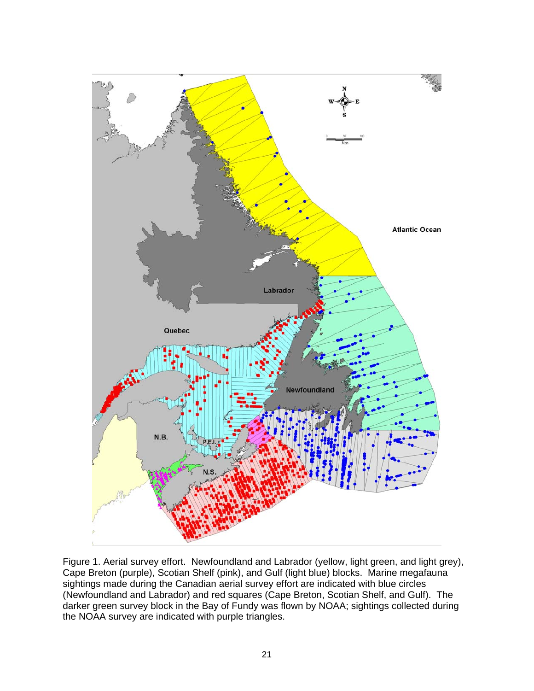

Figure 1. Aerial survey effort. Newfoundland and Labrador (yellow, light green, and light grey), Cape Breton (purple), Scotian Shelf (pink), and Gulf (light blue) blocks. Marine megafauna sightings made during the Canadian aerial survey effort are indicated with blue circles (Newfoundland and Labrador) and red squares (Cape Breton, Scotian Shelf, and Gulf). The darker green survey block in the Bay of Fundy was flown by NOAA; sightings collected during the NOAA survey are indicated with purple triangles.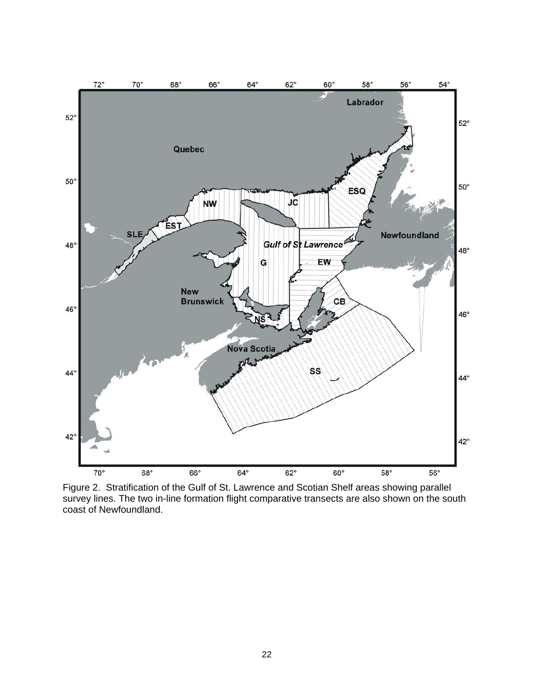

Figure 2. Stratification of the Gulf of St. Lawrence and Scotian Shelf areas showing parallel survey lines. The two in-line formation flight comparative transects are also shown on the south coast of Newfoundland.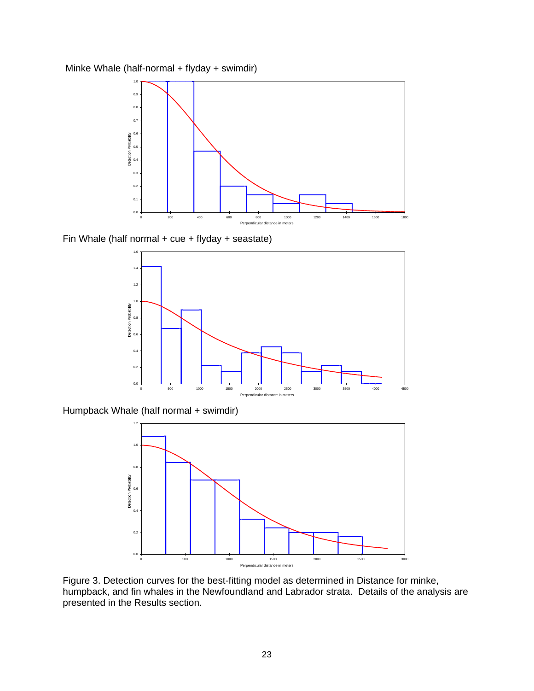Minke Whale (half-normal + flyday + swimdir)



Fin Whale (half normal + cue + flyday + seastate)



Humpback Whale (half normal + swimdir)



Figure 3. Detection curves for the best-fitting model as determined in Distance for minke, humpback, and fin whales in the Newfoundland and Labrador strata. Details of the analysis are presented in the Results section.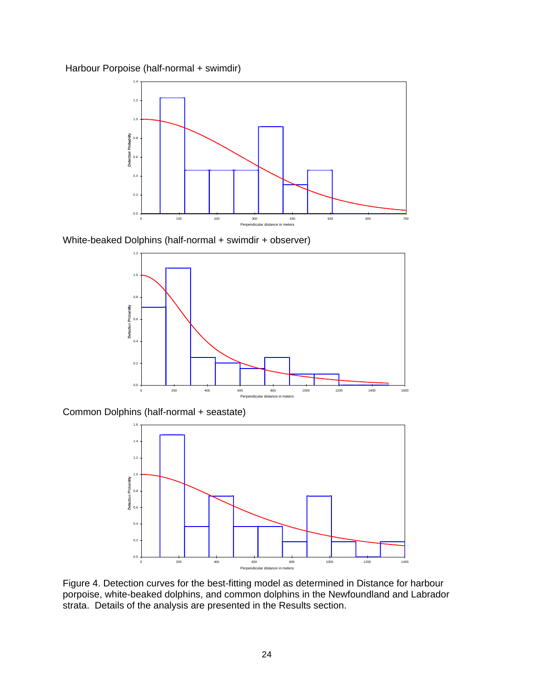Harbour Porpoise (half-normal + swimdir)



White-beaked Dolphins (half-normal + swimdir + observer)



Common Dolphins (half-normal + seastate)



Figure 4. Detection curves for the best-fitting model as determined in Distance for harbour porpoise, white-beaked dolphins, and common dolphins in the Newfoundland and Labrador strata. Details of the analysis are presented in the Results section.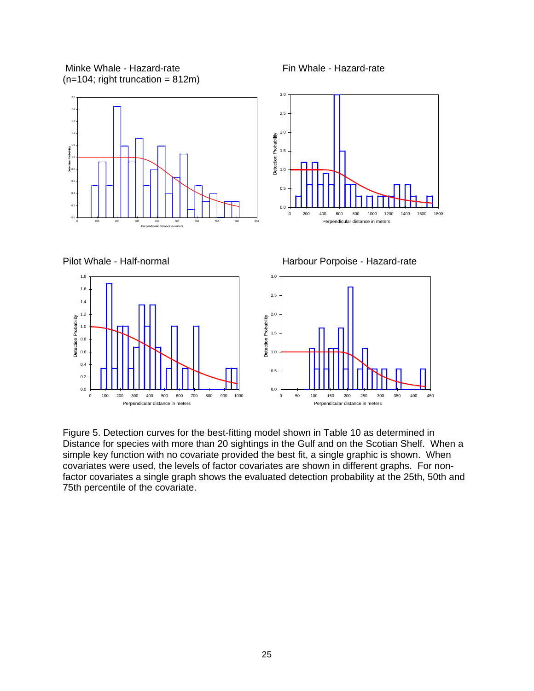Minke Whale - Hazard-rate **Fin Whale - Hazard-rate**  $(n=104;$  right truncation = 812m)

0.0 0.2 0.4 0.6 0.8 1.0 1.2

Detection Probability

0 100 200 300 400 500 600 700 800 900 1000 Perpendicular distance in meters



Figure 5. Detection curves for the best-fitting model shown in Table 10 as determined in Distance for species with more than 20 sightings in the Gulf and on the Scotian Shelf. When a simple key function with no covariate provided the best fit, a single graphic is shown. When covariates were used, the levels of factor covariates are shown in different graphs. For nonfactor covariates a single graph shows the evaluated detection probability at the 25th, 50th and 75th percentile of the covariate.

0.0

0 50 100 150 200 250 300 350 400 450 Perpendicular distance in meters

0.5

1.0

1.5

Detection Probability

2.0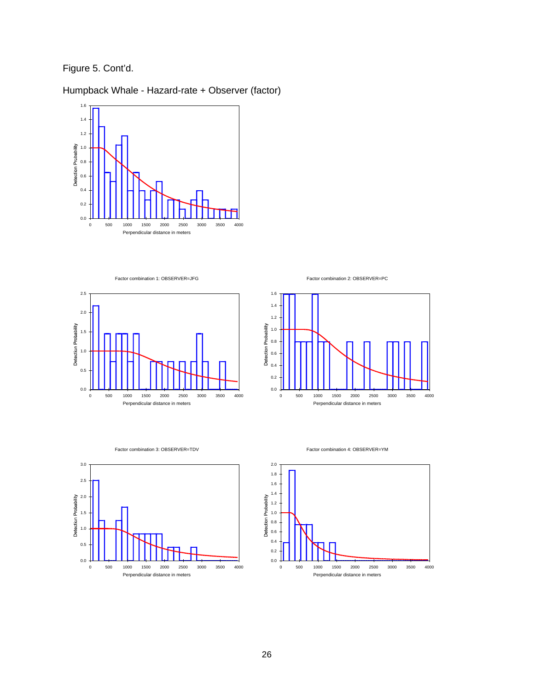Figure 5. Cont'd.

Humpback Whale - Hazard-rate + Observer (factor)



Factor combination 1: OBSERVER=JFG



Factor combination 2: OBSERVER=PC



#### Factor combination 3: OBSERVER=TDV



Factor combination 4: OBSERVER=YM

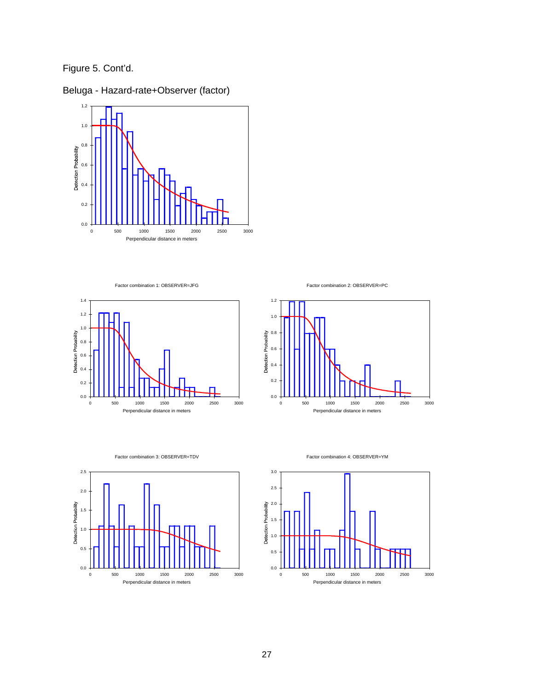Figure 5. Cont'd.



Beluga - Hazard-rate+Observer (factor)

Factor combination 1: OBSERVER=JFG









0 500 1000 1500 2000 2500 3000 Perpendicular distance in meters

 $0.0 +$ 

Factor combination 3: OBSERVER=TDV

Factor combination 4: OBSERVER=YM